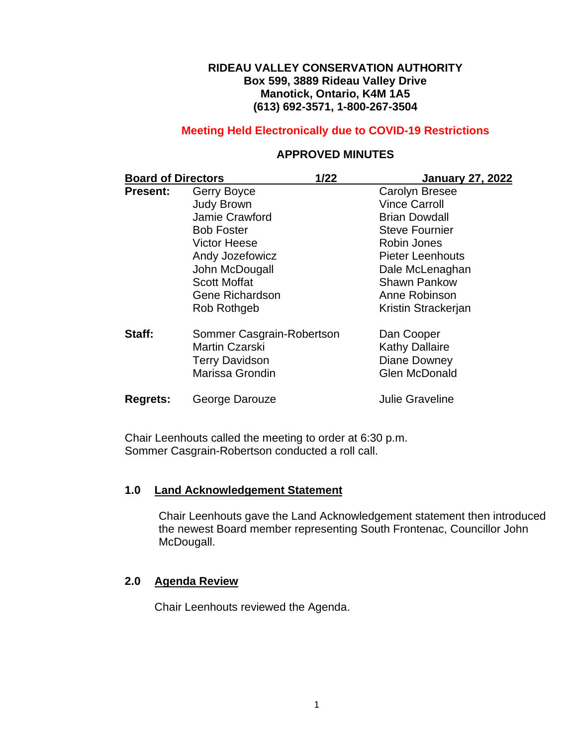#### **RIDEAU VALLEY CONSERVATION AUTHORITY Box 599, 3889 Rideau Valley Drive Manotick, Ontario, K4M 1A5 (613) 692-3571, 1-800-267-3504**

## **Meeting Held Electronically due to COVID-19 Restrictions**

## **APPROVED MINUTES**

| <b>Board of Directors</b> |                           | $1/22$ | January 27, 2022      |
|---------------------------|---------------------------|--------|-----------------------|
| <b>Present:</b>           | Gerry Boyce               |        | <b>Carolyn Bresee</b> |
|                           | <b>Judy Brown</b>         |        | <b>Vince Carroll</b>  |
|                           | Jamie Crawford            |        | <b>Brian Dowdall</b>  |
|                           | <b>Bob Foster</b>         |        | <b>Steve Fournier</b> |
|                           | <b>Victor Heese</b>       |        | Robin Jones           |
|                           | Andy Jozefowicz           |        | Pieter Leenhouts      |
|                           | John McDougall            |        | Dale McLenaghan       |
|                           | <b>Scott Moffat</b>       |        | <b>Shawn Pankow</b>   |
|                           | Gene Richardson           |        | Anne Robinson         |
|                           | Rob Rothgeb               |        | Kristin Strackerjan   |
| Staff:                    | Sommer Casgrain-Robertson |        | Dan Cooper            |
|                           | <b>Martin Czarski</b>     |        | <b>Kathy Dallaire</b> |
|                           | <b>Terry Davidson</b>     |        | Diane Downey          |
|                           | Marissa Grondin           |        | <b>Glen McDonald</b>  |
| <b>Regrets:</b>           | George Darouze            |        | Julie Graveline       |

Chair Leenhouts called the meeting to order at 6:30 p.m. Sommer Casgrain-Robertson conducted a roll call.

#### **1.0 Land Acknowledgement Statement**

Chair Leenhouts gave the Land Acknowledgement statement then introduced the newest Board member representing South Frontenac, Councillor John McDougall.

#### **2.0 Agenda Review**

Chair Leenhouts reviewed the Agenda.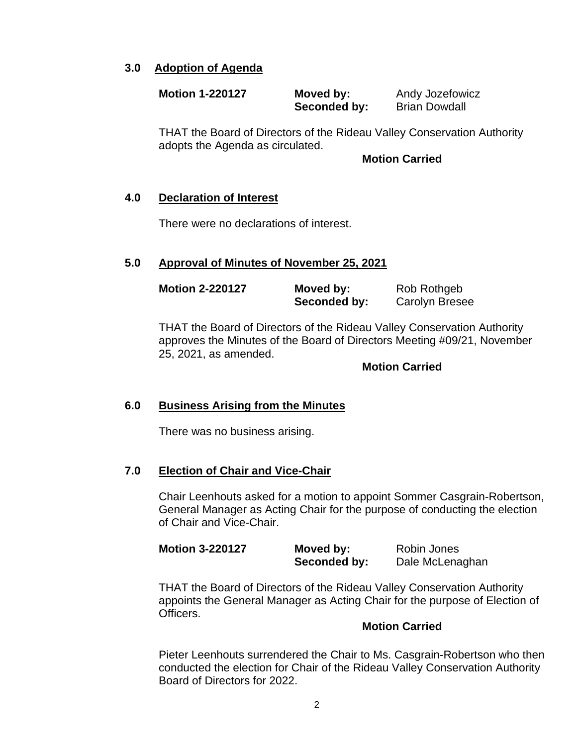## **3.0 Adoption of Agenda**

| <b>Motion 1-220127</b> | Moved by:    | Andy Jozefowicz      |
|------------------------|--------------|----------------------|
|                        | Seconded by: | <b>Brian Dowdall</b> |

THAT the Board of Directors of the Rideau Valley Conservation Authority adopts the Agenda as circulated.

#### **Motion Carried**

### **4.0 Declaration of Interest**

There were no declarations of interest.

### **5.0 Approval of Minutes of November 25, 2021**

| <b>Motion 2-220127</b> | Moved by:    | Rob Rothgeb           |
|------------------------|--------------|-----------------------|
|                        | Seconded by: | <b>Carolyn Bresee</b> |

THAT the Board of Directors of the Rideau Valley Conservation Authority approves the Minutes of the Board of Directors Meeting #09/21, November 25, 2021, as amended.

#### **Motion Carried**

### **6.0 Business Arising from the Minutes**

There was no business arising.

### **7.0 Election of Chair and Vice-Chair**

Chair Leenhouts asked for a motion to appoint Sommer Casgrain-Robertson, General Manager as Acting Chair for the purpose of conducting the election of Chair and Vice-Chair.

| <b>Motion 3-220127</b> | Moved by:    | Robin Jones     |
|------------------------|--------------|-----------------|
|                        | Seconded by: | Dale McLenaghan |

THAT the Board of Directors of the Rideau Valley Conservation Authority appoints the General Manager as Acting Chair for the purpose of Election of Officers.

#### **Motion Carried**

Pieter Leenhouts surrendered the Chair to Ms. Casgrain-Robertson who then conducted the election for Chair of the Rideau Valley Conservation Authority Board of Directors for 2022.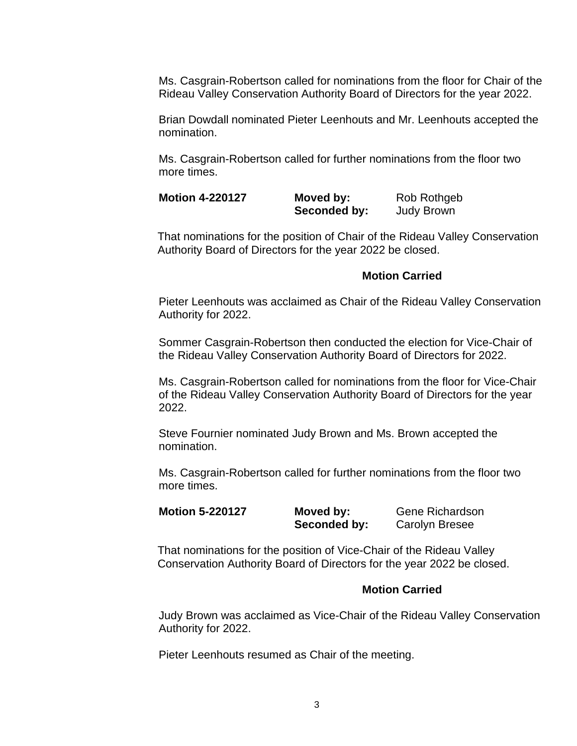Ms. Casgrain-Robertson called for nominations from the floor for Chair of the Rideau Valley Conservation Authority Board of Directors for the year 2022.

Brian Dowdall nominated Pieter Leenhouts and Mr. Leenhouts accepted the nomination.

Ms. Casgrain-Robertson called for further nominations from the floor two more times.

| <b>Motion 4-220127</b> | Moved by:    | Rob Rothgeb       |
|------------------------|--------------|-------------------|
|                        | Seconded by: | <b>Judy Brown</b> |

That nominations for the position of Chair of the Rideau Valley Conservation Authority Board of Directors for the year 2022 be closed.

#### **Motion Carried**

Pieter Leenhouts was acclaimed as Chair of the Rideau Valley Conservation Authority for 2022.

Sommer Casgrain-Robertson then conducted the election for Vice-Chair of the Rideau Valley Conservation Authority Board of Directors for 2022.

Ms. Casgrain-Robertson called for nominations from the floor for Vice-Chair of the Rideau Valley Conservation Authority Board of Directors for the year 2022.

Steve Fournier nominated Judy Brown and Ms. Brown accepted the nomination.

Ms. Casgrain-Robertson called for further nominations from the floor two more times.

**Motion 5-220127 Moved by:** Gene Richardson **Seconded by:** Carolyn Bresee

That nominations for the position of Vice-Chair of the Rideau Valley Conservation Authority Board of Directors for the year 2022 be closed.

#### **Motion Carried**

Judy Brown was acclaimed as Vice-Chair of the Rideau Valley Conservation Authority for 2022.

Pieter Leenhouts resumed as Chair of the meeting.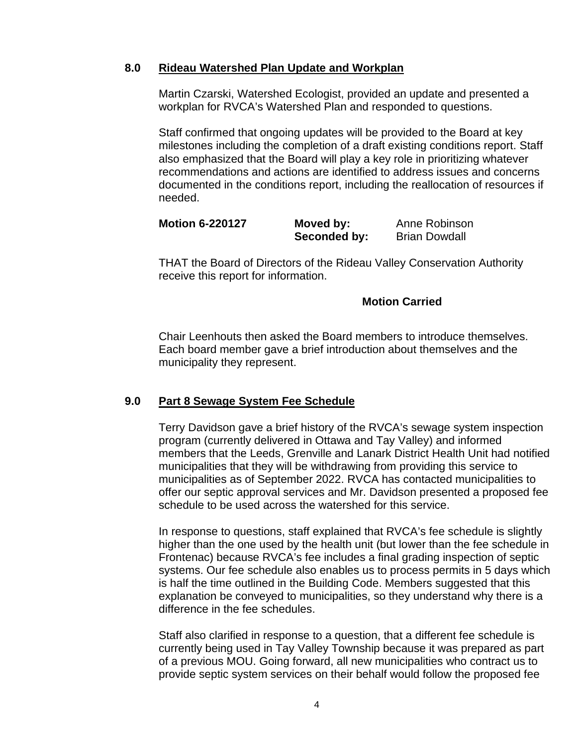### **8.0 Rideau Watershed Plan Update and Workplan**

Martin Czarski, Watershed Ecologist, provided an update and presented a workplan for RVCA's Watershed Plan and responded to questions.

Staff confirmed that ongoing updates will be provided to the Board at key milestones including the completion of a draft existing conditions report. Staff also emphasized that the Board will play a key role in prioritizing whatever recommendations and actions are identified to address issues and concerns documented in the conditions report, including the reallocation of resources if needed.

| <b>Motion 6-220127</b> | Moved by:    | Anne Robinson        |
|------------------------|--------------|----------------------|
|                        | Seconded by: | <b>Brian Dowdall</b> |

THAT the Board of Directors of the Rideau Valley Conservation Authority receive this report for information.

#### **Motion Carried**

Chair Leenhouts then asked the Board members to introduce themselves. Each board member gave a brief introduction about themselves and the municipality they represent.

### **9.0 Part 8 Sewage System Fee Schedule**

Terry Davidson gave a brief history of the RVCA's sewage system inspection program (currently delivered in Ottawa and Tay Valley) and informed members that the Leeds, Grenville and Lanark District Health Unit had notified municipalities that they will be withdrawing from providing this service to municipalities as of September 2022. RVCA has contacted municipalities to offer our septic approval services and Mr. Davidson presented a proposed fee schedule to be used across the watershed for this service.

In response to questions, staff explained that RVCA's fee schedule is slightly higher than the one used by the health unit (but lower than the fee schedule in Frontenac) because RVCA's fee includes a final grading inspection of septic systems. Our fee schedule also enables us to process permits in 5 days which is half the time outlined in the Building Code. Members suggested that this explanation be conveyed to municipalities, so they understand why there is a difference in the fee schedules.

Staff also clarified in response to a question, that a different fee schedule is currently being used in Tay Valley Township because it was prepared as part of a previous MOU. Going forward, all new municipalities who contract us to provide septic system services on their behalf would follow the proposed fee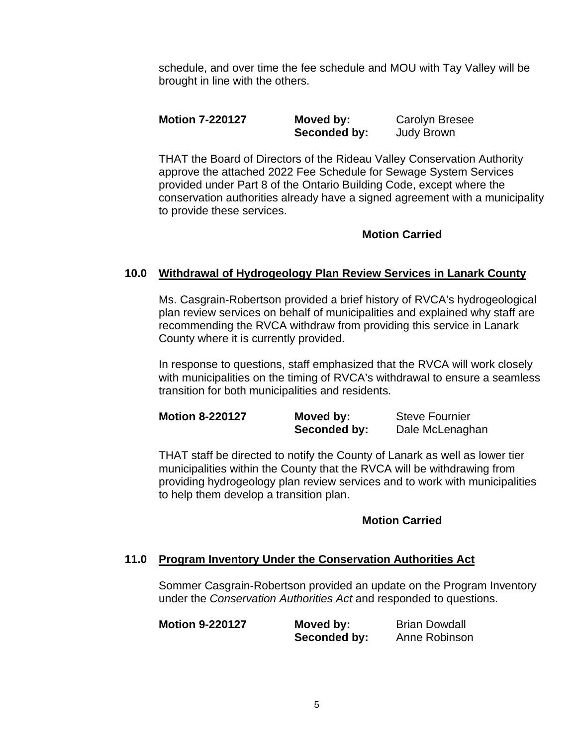schedule, and over time the fee schedule and MOU with Tay Valley will be brought in line with the others.

**Motion 7-220127 Moved by:** Carolyn Bresee Seconded by: **Judy Brown** 

THAT the Board of Directors of the Rideau Valley Conservation Authority approve the attached 2022 Fee Schedule for Sewage System Services provided under Part 8 of the Ontario Building Code, except where the conservation authorities already have a signed agreement with a municipality to provide these services.

# **Motion Carried**

# **10.0 Withdrawal of Hydrogeology Plan Review Services in Lanark County**

Ms. Casgrain-Robertson provided a brief history of RVCA's hydrogeological plan review services on behalf of municipalities and explained why staff are recommending the RVCA withdraw from providing this service in Lanark County where it is currently provided.

In response to questions, staff emphasized that the RVCA will work closely with municipalities on the timing of RVCA's withdrawal to ensure a seamless transition for both municipalities and residents.

| <b>Motion 8-220127</b> | Moved by:    | <b>Steve Fournier</b> |
|------------------------|--------------|-----------------------|
|                        | Seconded by: | Dale McLenaghan       |

THAT staff be directed to notify the County of Lanark as well as lower tier municipalities within the County that the RVCA will be withdrawing from providing hydrogeology plan review services and to work with municipalities to help them develop a transition plan.

### **Motion Carried**

### **11.0 Program Inventory Under the Conservation Authorities Act**

Sommer Casgrain-Robertson provided an update on the Program Inventory under the *Conservation Authorities Act* and responded to questions.

| <b>Motion 9-220127</b> | Moved by:    | <b>Brian Dowdall</b> |
|------------------------|--------------|----------------------|
|                        | Seconded by: | Anne Robinson        |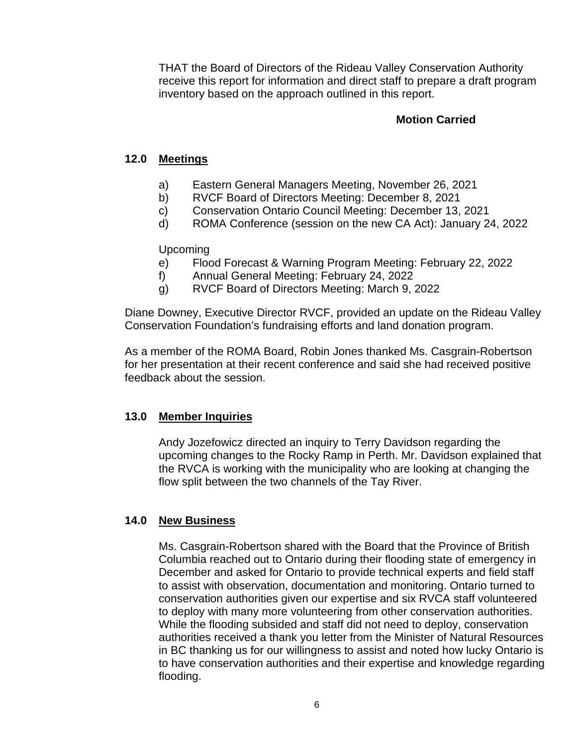THAT the Board of Directors of the Rideau Valley Conservation Authority receive this report for information and direct staff to prepare a draft program inventory based on the approach outlined in this report.

## **Motion Carried**

## **12.0 Meetings**

- a) Eastern General Managers Meeting, November 26, 2021
- b) RVCF Board of Directors Meeting: December 8, 2021
- c) Conservation Ontario Council Meeting: December 13, 2021
- d) ROMA Conference (session on the new CA Act): January 24, 2022

### Upcoming

- e) Flood Forecast & Warning Program Meeting: February 22, 2022
- f) Annual General Meeting: February 24, 2022
- g) RVCF Board of Directors Meeting: March 9, 2022

Diane Downey, Executive Director RVCF, provided an update on the Rideau Valley Conservation Foundation's fundraising efforts and land donation program.

As a member of the ROMA Board, Robin Jones thanked Ms. Casgrain-Robertson for her presentation at their recent conference and said she had received positive feedback about the session.

### **13.0 Member Inquiries**

Andy Jozefowicz directed an inquiry to Terry Davidson regarding the upcoming changes to the Rocky Ramp in Perth. Mr. Davidson explained that the RVCA is working with the municipality who are looking at changing the flow split between the two channels of the Tay River.

### **14.0 New Business**

Ms. Casgrain-Robertson shared with the Board that the Province of British Columbia reached out to Ontario during their flooding state of emergency in December and asked for Ontario to provide technical experts and field staff to assist with observation, documentation and monitoring. Ontario turned to conservation authorities given our expertise and six RVCA staff volunteered to deploy with many more volunteering from other conservation authorities. While the flooding subsided and staff did not need to deploy, conservation authorities received a thank you letter from the Minister of Natural Resources in BC thanking us for our willingness to assist and noted how lucky Ontario is to have conservation authorities and their expertise and knowledge regarding flooding.